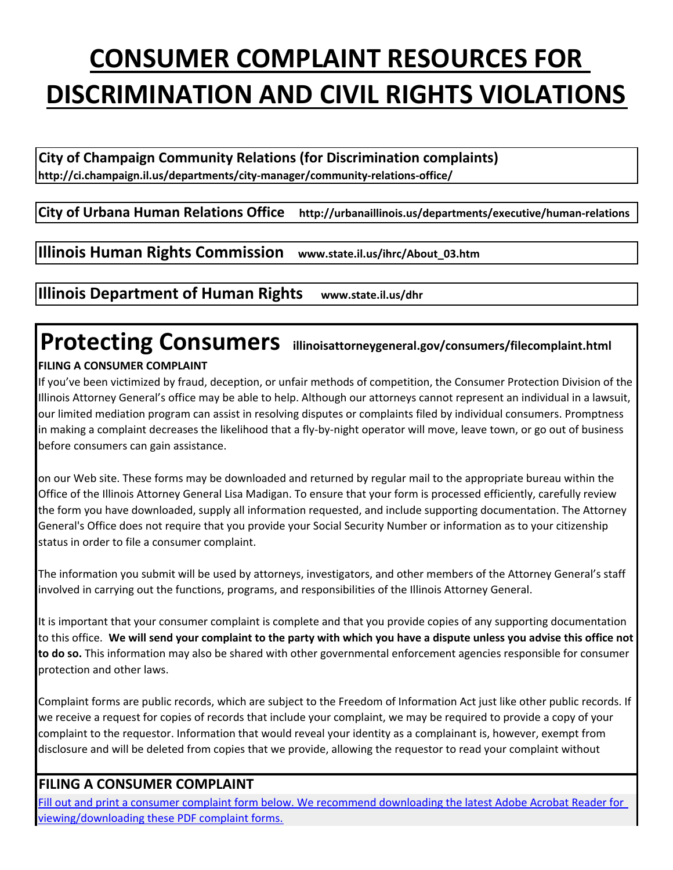# **CONSUMER COMPLAINT RESOURCES FOR DISCRIMINATION AND CIVIL RIGHTS VIOLATIONS**

**City of Champaign Community Relations (for Discrimination complaints) http://ci.champaign.il.us/departments/city-manager/community-relations-office/**

#### **City of Urbana Human Relations Office http://urbanaillinois.us/departments/executive/human-relations**

**Illinois Human Rights Commission www.state.il.us/ihrc/About\_03.htm**

**Illinois Department of Human Rights www.state.il.us/dhr**

### **Protecting Consumers illinoisattorneygeneral.gov/consumers/filecomplaint.html FILING A CONSUMER COMPLAINT**

If you've been victimized by fraud, deception, or unfair methods of competition, the Consumer Protection Division of the Illinois Attorney General's office may be able to help. Although our attorneys cannot represent an individual in a lawsuit, our limited mediation program can assist in resolving disputes or complaints filed by individual consumers. Promptness in making a complaint decreases the likelihood that a fly-by-night operator will move, leave town, or go out of business before consumers can gain assistance.

on our Web site. These forms may be downloaded and returned by regular mail to the appropriate bureau within the Office of the Illinois Attorney General Lisa Madigan. To ensure that your form is processed efficiently, carefully review the form you have downloaded, supply all information requested, and include supporting documentation. The Attorney General's Office does not require that you provide your Social Security Number or information as to your citizenship status in order to file a consumer complaint.

The information you submit will be used by attorneys, investigators, and other members of the Attorney General's staff involved in carrying out the functions, programs, and responsibilities of the Illinois Attorney General.

It is important that your consumer complaint is complete and that you provide copies of any supporting documentation to this office. **We will send your complaint to the party with which you have a dispute unless you advise this office not to do so.** This information may also be shared with other governmental enforcement agencies responsible for consumer protection and other laws.

Complaint forms are public records, which are subject to the Freedom of Information Act just like other public records. If we receive a request for copies of records that include your complaint, we may be required to provide a copy of your complaint to the requestor. Information that would reveal your identity as a complainant is, however, exempt from disclosure and will be deleted from copies that we provide, allowing the requestor to read your complaint without

#### **FILING A CONSUMER COMPLAINT**

Fill out and print a consumer complaint form below. We recommend downloading the latest Adobe Acrobat Reader for viewing/downloading these PDF complaint forms.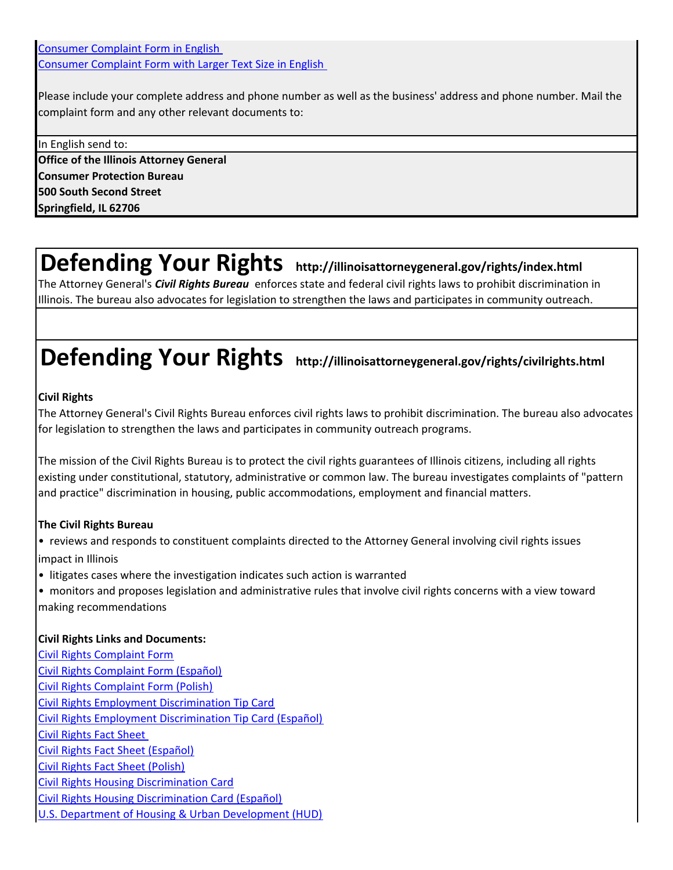Consumer Complaint Form in English Consumer Complaint Form with Larger Text Size in English

Please include your complete address and phone number as well as the business' address and phone number. Mail the complaint form and any other relevant documents to:

In English send to: **Office of the Illinois Attorney General Consumer Protection Bureau 500 South Second Street Springfield, IL 62706**

### **Defending Your Rights http://illinoisattorneygeneral.gov/rights/index.html**

The Attorney General's *Civil Rights Bureau* enforces state and federal civil rights laws to prohibit discrimination in Illinois. The bureau also advocates for legislation to strengthen the laws and participates in community outreach.

## **Defending Your Rights http://illinoisattorneygeneral.gov/rights/civilrights.html**

#### **Civil Rights**

The Attorney General's Civil Rights Bureau enforces civil rights laws to prohibit discrimination. The bureau also advocates for legislation to strengthen the laws and participates in community outreach programs.

The mission of the Civil Rights Bureau is to protect the civil rights guarantees of Illinois citizens, including all rights existing under constitutional, statutory, administrative or common law. The bureau investigates complaints of "pattern and practice" discrimination in housing, public accommodations, employment and financial matters.

#### **The Civil Rights Bureau**

• reviews and responds to constituent complaints directed to the Attorney General involving civil rights issues impact in Illinois

• litigates cases where the investigation indicates such action is warranted

• monitors and proposes legislation and administrative rules that involve civil rights concerns with a view toward making recommendations

#### **Civil Rights Links and Documents:**

Civil Rights Complaint Form Civil Rights Complaint Form (Español) Civil Rights Complaint Form (Polish) Civil Rights Employment Discrimination Tip Card Civil Rights Employment Discrimination Tip Card (Español) Civil Rights Fact Sheet Civil Rights Fact Sheet (Español) Civil Rights Fact Sheet (Polish) Civil Rights Housing Discrimination Card Civil Rights Housing Discrimination Card (Español) U.S. Department of Housing & Urban Development (HUD)